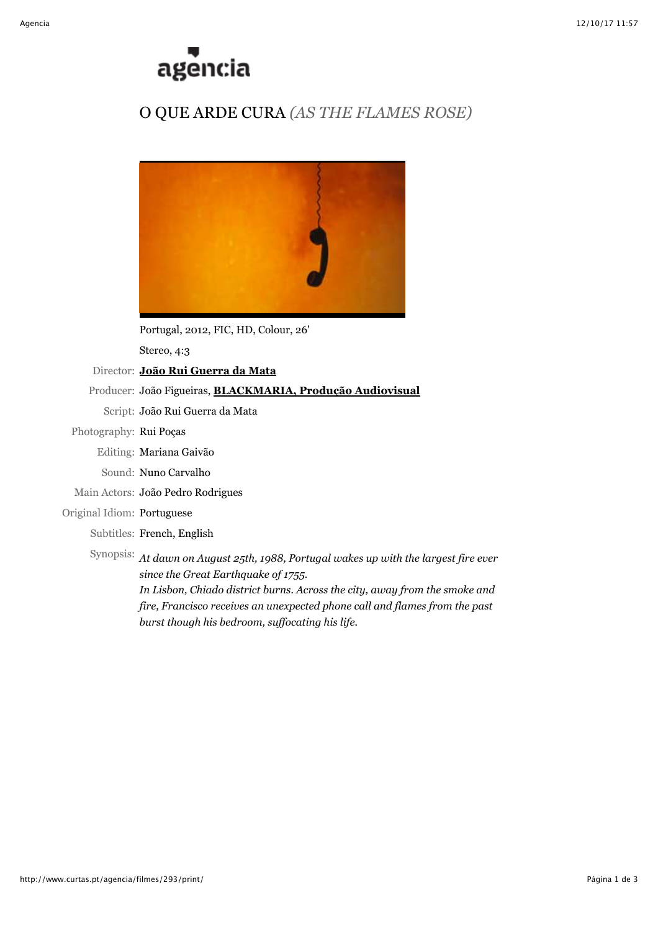

# O QUE ARDE CURA *(AS THE FLAMES ROSE)*



Portugal, 2012, FIC, HD, Colour, 26'

Stereo, 4:3

Director: **[João Rui Guerra da Mata](http://www.curtas.pt/agencia/realizadores/530/)**

### Producer: João Figueiras, **[BLACKMARIA, Produção Audiovisual](http://www.blackmaria.pt/)**

Script: João Rui Guerra da Mata

## Photography: Rui Poças

Editing: Mariana Gaivão

- Sound: Nuno Carvalho
- Main Actors: João Pedro Rodrigues

#### Original Idiom: Portuguese

Subtitles: French, English

Synopsis: *At dawn on August 25th, 1988, Portugal wakes up with the largest fire ever since the Great Earthquake of 1755. In Lisbon, Chiado district burns. Across the city, away from the smoke and*

*fire, Francisco receives an unexpected phone call and flames from the past burst though his bedroom, suffocating his life.*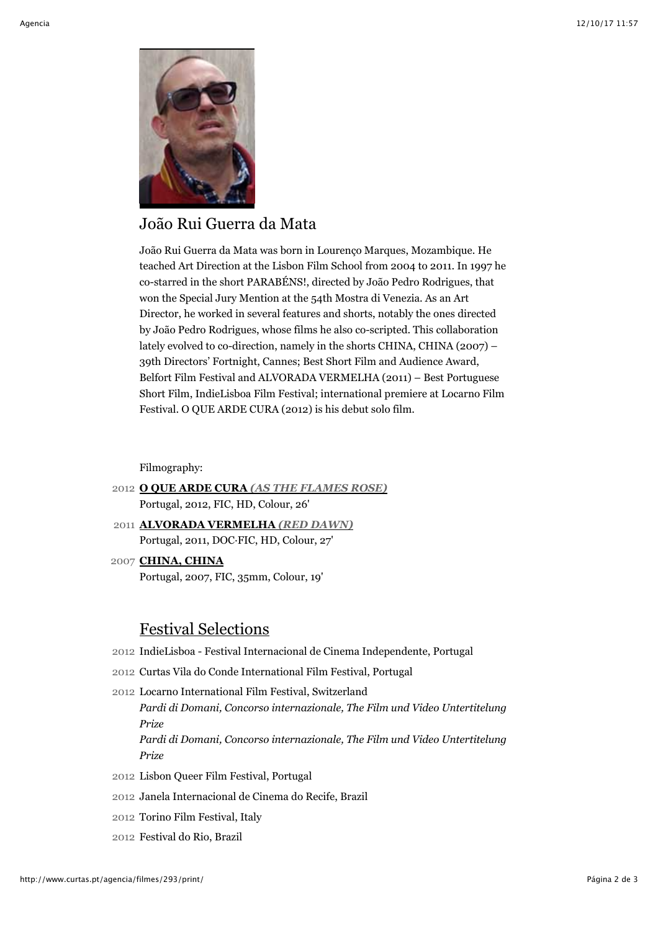

# João Rui Guerra da Mata

João Rui Guerra da Mata was born in Lourenço Marques, Mozambique. He teached Art Direction at the Lisbon Film School from 2004 to 2011. In 1997 he co-starred in the short PARABÉNS!, directed by João Pedro Rodrigues, that won the Special Jury Mention at the 54th Mostra di Venezia. As an Art Director, he worked in several features and shorts, notably the ones directed by João Pedro Rodrigues, whose films he also co-scripted. This collaboration lately evolved to co-direction, namely in the shorts CHINA, CHINA (2007) – 39th Directors' Fortnight, Cannes; Best Short Film and Audience Award, Belfort Film Festival and ALVORADA VERMELHA (2011) – Best Portuguese Short Film, IndieLisboa Film Festival; international premiere at Locarno Film Festival. O QUE ARDE CURA (2012) is his debut solo film.

Filmography:

- 2012 **O QUE ARDE CURA** *[\(AS THE FLAMES ROSE\)](http://www.curtas.pt/agencia/filmes/293/)* Portugal, 2012, FIC, HD, Colour, 26'
- 2011 **[ALVORADA VERMELHA](http://www.curtas.pt/agencia/filmes/270/)** *(RED DAWN)* Portugal, 2011, DOC·FIC, HD, Colour, 27'
- 2007 **[CHINA, CHINA](http://www.curtas.pt/agencia/filmes/155/)** Portugal, 2007, FIC, 35mm, Colour, 19'

# Festival Selections

- 2012 IndieLisboa Festival Internacional de Cinema Independente, Portugal
- 2012 Curtas Vila do Conde International Film Festival, Portugal
- 2012 Locarno International Film Festival, Switzerland *Pardi di Domani, Concorso internazionale, The Film und Video Untertitelung Prize Pardi di Domani, Concorso internazionale, The Film und Video Untertitelung Prize*
- 2012 Lisbon Queer Film Festival, Portugal
- 2012 Janela Internacional de Cinema do Recife, Brazil
- 2012 Torino Film Festival, Italy
- 2012 Festival do Rio, Brazil